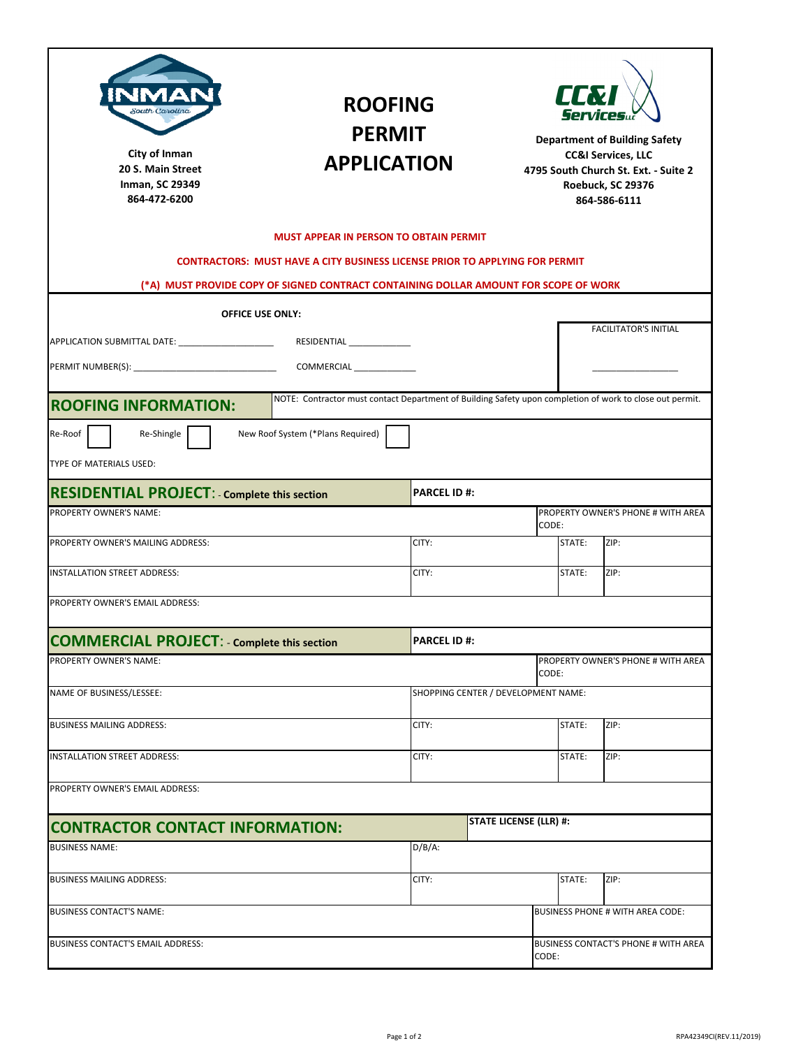| South Carolina<br>City of Inman<br>20 S. Main Street<br><b>Inman, SC 29349</b><br>864-472-6200                                          | <b>ROOFING</b><br><b>PERMIT</b><br><b>APPLICATION</b>                                |                     |                                               | LLN<br><b>Department of Building Safety</b><br><b>CC&amp;I Services, LLC</b><br>4795 South Church St. Ext. - Suite 2<br>Roebuck, SC 29376<br>864-586-6111 |                                    |  |
|-----------------------------------------------------------------------------------------------------------------------------------------|--------------------------------------------------------------------------------------|---------------------|-----------------------------------------------|-----------------------------------------------------------------------------------------------------------------------------------------------------------|------------------------------------|--|
|                                                                                                                                         | <b>MUST APPEAR IN PERSON TO OBTAIN PERMIT</b>                                        |                     |                                               |                                                                                                                                                           |                                    |  |
|                                                                                                                                         | <b>CONTRACTORS: MUST HAVE A CITY BUSINESS LICENSE PRIOR TO APPLYING FOR PERMIT</b>   |                     |                                               |                                                                                                                                                           |                                    |  |
|                                                                                                                                         | (*A) MUST PROVIDE COPY OF SIGNED CONTRACT CONTAINING DOLLAR AMOUNT FOR SCOPE OF WORK |                     |                                               |                                                                                                                                                           |                                    |  |
|                                                                                                                                         | <b>OFFICE USE ONLY:</b>                                                              |                     |                                               |                                                                                                                                                           | <b>FACILITATOR'S INITIAL</b>       |  |
| RESIDENTIAL _______________<br>APPLICATION SUBMITTAL DATE: ________________________                                                     |                                                                                      |                     |                                               |                                                                                                                                                           |                                    |  |
|                                                                                                                                         |                                                                                      |                     |                                               |                                                                                                                                                           |                                    |  |
| NOTE: Contractor must contact Department of Building Safety upon completion of work to close out permit.<br><b>ROOFING INFORMATION:</b> |                                                                                      |                     |                                               |                                                                                                                                                           |                                    |  |
| Re-Roof<br>Re-Shingle<br>TYPE OF MATERIALS USED:                                                                                        | New Roof System (*Plans Required)                                                    |                     |                                               |                                                                                                                                                           |                                    |  |
| <b>RESIDENTIAL PROJECT: - Complete this section</b>                                                                                     |                                                                                      | <b>PARCEL ID #:</b> |                                               |                                                                                                                                                           |                                    |  |
| PROPERTY OWNER'S NAME:                                                                                                                  |                                                                                      |                     |                                               | CODE:                                                                                                                                                     | PROPERTY OWNER'S PHONE # WITH AREA |  |
| PROPERTY OWNER'S MAILING ADDRESS:                                                                                                       |                                                                                      |                     | CITY:                                         |                                                                                                                                                           | STATE:<br>ZIP:                     |  |
| INSTALLATION STREET ADDRESS:                                                                                                            |                                                                                      |                     | CITY:                                         |                                                                                                                                                           | ZIP:                               |  |
| PROPERTY OWNER'S EMAIL ADDRESS:                                                                                                         |                                                                                      |                     |                                               |                                                                                                                                                           |                                    |  |
| <b>COMMERCIAL PROJECT:</b> - Complete this section                                                                                      |                                                                                      | <b>PARCEL ID#:</b>  |                                               |                                                                                                                                                           |                                    |  |
| PROPERTY OWNER'S NAME:                                                                                                                  |                                                                                      |                     |                                               | CODE:                                                                                                                                                     | PROPERTY OWNER'S PHONE # WITH AREA |  |
| NAME OF BUSINESS/LESSEE:                                                                                                                |                                                                                      |                     | SHOPPING CENTER / DEVELOPMENT NAME:           |                                                                                                                                                           |                                    |  |
| <b>BUSINESS MAILING ADDRESS:</b>                                                                                                        |                                                                                      | CITY:               |                                               | STATE:                                                                                                                                                    | ZIP:                               |  |
| INSTALLATION STREET ADDRESS:                                                                                                            | CITY:                                                                                |                     | STATE:                                        | ZIP:                                                                                                                                                      |                                    |  |
| PROPERTY OWNER'S EMAIL ADDRESS:                                                                                                         |                                                                                      |                     |                                               |                                                                                                                                                           |                                    |  |
| <b>CONTRACTOR CONTACT INFORMATION:</b>                                                                                                  |                                                                                      |                     | <b>STATE LICENSE (LLR) #:</b>                 |                                                                                                                                                           |                                    |  |
| <b>BUSINESS NAME:</b>                                                                                                                   |                                                                                      | $D/B/A$ :           |                                               |                                                                                                                                                           |                                    |  |
| <b>BUSINESS MAILING ADDRESS:</b>                                                                                                        |                                                                                      | CITY:               |                                               | STATE:                                                                                                                                                    | ZIP:                               |  |
| <b>BUSINESS CONTACT'S NAME:</b>                                                                                                         |                                                                                      |                     |                                               |                                                                                                                                                           | BUSINESS PHONE # WITH AREA CODE:   |  |
| BUSINESS CONTACT'S EMAIL ADDRESS:                                                                                                       |                                                                                      |                     | BUSINESS CONTACT'S PHONE # WITH AREA<br>CODE: |                                                                                                                                                           |                                    |  |